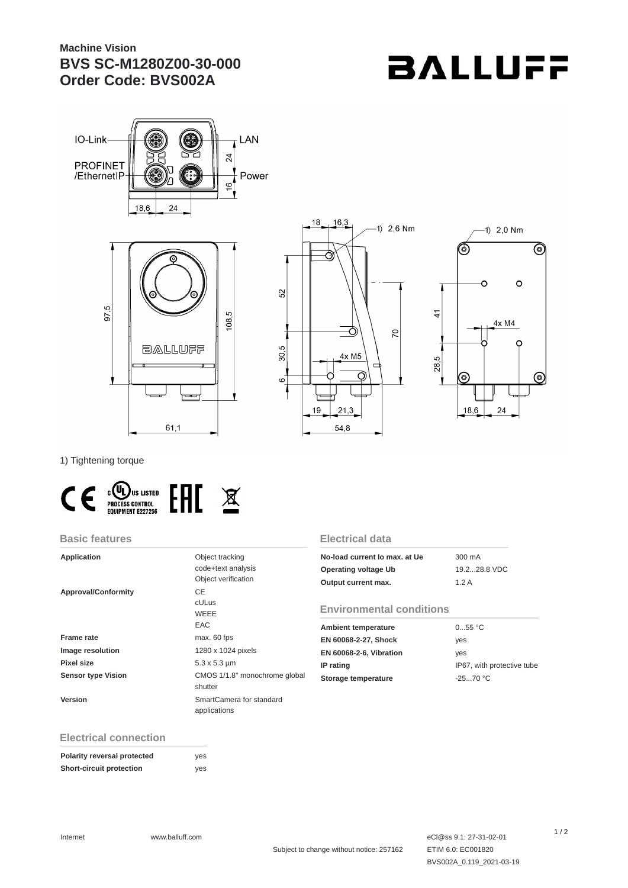## **Machine Vision BVS SC-M1280Z00-30-000 Order Code: BVS002A**

# **BALLUFF**









1) Tightening torque



#### **Basic features**

| <b>Application</b>         | Object tracking<br>code+text analysis<br>Object verification | No<br>Op<br>Ou |
|----------------------------|--------------------------------------------------------------|----------------|
| <b>Approval/Conformity</b> | CE<br>cULus<br>WEEE<br>EAC                                   | Er<br>Am       |
| <b>Frame rate</b>          | max. 60 fps                                                  | ΕN             |
| <b>Image resolution</b>    | 1280 x 1024 pixels                                           | EN             |
| Pixel size                 | $5.3 \times 5.3 \mu m$                                       | IP I           |
| <b>Sensor type Vision</b>  | CMOS 1/1.8" monochrome global<br>shutter                     | Sto            |
| Version                    | SmartCamera for standard<br>applications                     |                |

#### **Electrical data**

| No-load current lo max, at Ue | 300 mA       |
|-------------------------------|--------------|
| Operating voltage Ub          | 19.228.8 VDC |
| Output current max.           | 1.2A         |

#### **Environmental conditions**

| <b>Ambient temperature</b>     | 055 °C                     |
|--------------------------------|----------------------------|
| EN 60068-2-27, Shock           | yes                        |
| <b>EN 60068-2-6, Vibration</b> | ves                        |
| IP rating                      | IP67, with protective tube |
| Storage temperature            | $-2570 °C$                 |

### **Electrical connection**

| Polarity reversal protected | ves |
|-----------------------------|-----|
| Short-circuit protection    | yes |